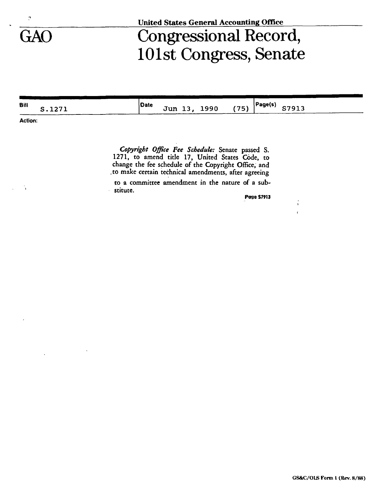

## GAO Congressional Record, 101st Congress, Senate

| <b>Bill</b> | ־ ר ר י<br>ື້ | Date | Jun 13, | 1990 | (75) | Page(s) | 37913 |  |
|-------------|---------------|------|---------|------|------|---------|-------|--|
|             |               |      |         |      |      |         |       |  |

**Action:** 

*Copyright Office Fee Schedule:* Senate passed S. 1271, to amend title 17, United States Code, to change the fee schedule of the Copyright Office, and ,to make certain technical amendments, after agreeing

to a committee amendment in the nature of a substitute.

**Page S7913**